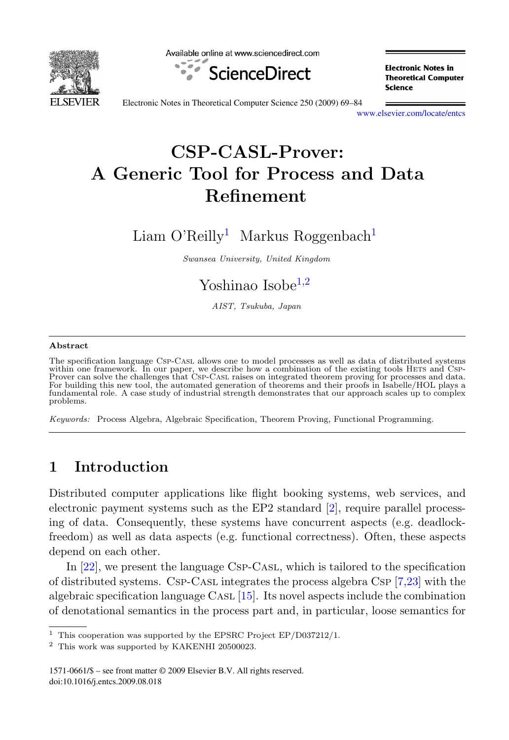

Available online at www.sciencedirect.com



**Electronic Notes in Theoretical Computer** Science

Electronic Notes in Theoretical Computer Science 250 (2009) 69–84

[www.elsevier.com/locate/entcs](http://www.elsevier.com/locate/entcs)

# **CSP-CASL-Prover: A Generic Tool for Process and Data Refinement**

Liam O'Reilly<sup>1</sup> Markus Roggenbach<sup>1</sup>

Swansea University, United Kingdom

# Yoshinao Isobe $1,2$

AIST, Tsukuba, Japan

#### **Abstract**

The specification language Csp-Casl allows one to model processes as well as data of distributed systems within one framework. In our paper, we describe how a combination of the existing tools HETS and CSP-<br>Prover can solve the challenges that CSP-CASL raises on integrated theorem proving for processes and data.<br>For building fundamental role. A case study of industrial strength demonstrates that our approach scales up to complex problems.

Keywords: Process Algebra, Algebraic Specification, Theorem Proving, Functional Programming.

# **1 Introduction**

Distributed computer applications like flight booking systems, web services, and electronic payment systems such as the EP2 standard [\[2\]](#page-14-0), require parallel processing of data. Consequently, these systems have concurrent aspects (e.g. deadlockfreedom) as well as data aspects (e.g. functional correctness). Often, these aspects depend on each other.

In [\[22\]](#page-15-0), we present the language Csp-Casl, which is tailored to the specification of distributed systems. Csp-Casl integrates the process algebra Csp [\[7,23\]](#page-15-0) with the algebraic specification language CASL  $[15]$ . Its novel aspects include the combination of denotational semantics in the process part and, in particular, loose semantics for

1571-0661/\$ – see front matter © 2009 Elsevier B.V. All rights reserved. doi:10.1016/j.entcs.2009.08.018

<sup>&</sup>lt;sup>1</sup> This cooperation was supported by the EPSRC Project EP/D037212/1.

<sup>2</sup> This work was supported by KAKENHI 20500023.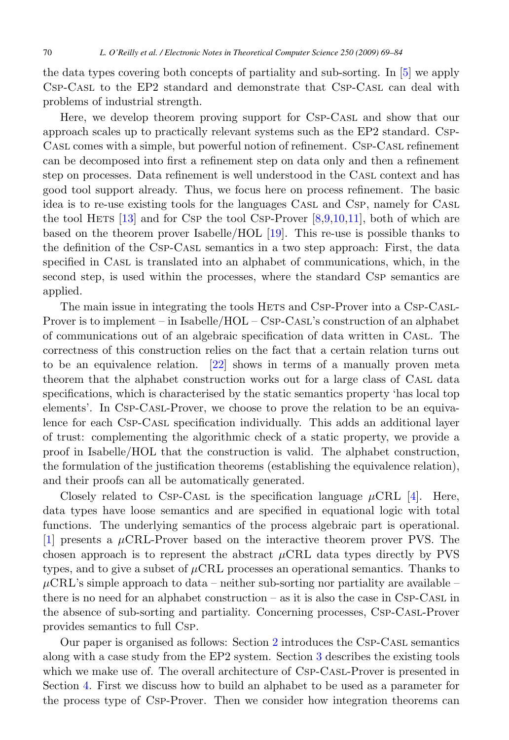the data types covering both concepts of partiality and sub-sorting. In [\[5\]](#page-15-0) we apply Csp-Casl to the EP2 standard and demonstrate that Csp-Casl can deal with problems of industrial strength.

Here, we develop theorem proving support for Csp-Casl and show that our approach scales up to practically relevant systems such as the EP2 standard. Csp-Casl comes with a simple, but powerful notion of refinement. Csp-Casl refinement can be decomposed into first a refinement step on data only and then a refinement step on processes. Data refinement is well understood in the Casl context and has good tool support already. Thus, we focus here on process refinement. The basic idea is to re-use existing tools for the languages Casl and Csp, namely for Casl the tool HETS  $[13]$  and for Csp the tool Csp-Prover  $[8,9,10,11]$ , both of which are based on the theorem prover Isabelle/HOL [\[19\]](#page-15-0). This re-use is possible thanks to the definition of the Csp-Casl semantics in a two step approach: First, the data specified in CASL is translated into an alphabet of communications, which, in the second step, is used within the processes, where the standard Csp semantics are applied.

The main issue in integrating the tools HETS and CSP-Prover into a CSP-CASL-Prover is to implement – in Isabelle/HOL – Csp-Casl's construction of an alphabet of communications out of an algebraic specification of data written in Casl. The correctness of this construction relies on the fact that a certain relation turns out to be an equivalence relation. [\[22\]](#page-15-0) shows in terms of a manually proven meta theorem that the alphabet construction works out for a large class of Casl data specifications, which is characterised by the static semantics property 'has local top elements'. In Csp-Casl-Prover, we choose to prove the relation to be an equivalence for each Csp-Casl specification individually. This adds an additional layer of trust: complementing the algorithmic check of a static property, we provide a proof in Isabelle/HOL that the construction is valid. The alphabet construction, the formulation of the justification theorems (establishing the equivalence relation), and their proofs can all be automatically generated.

Closely related to Csp-Casl is the specification language  $\mu$ CRL [\[4\]](#page-14-0). Here, data types have loose semantics and are specified in equational logic with total functions. The underlying semantics of the process algebraic part is operational. [\[1\]](#page-14-0) presents a  $\mu$ CRL-Prover based on the interactive theorem prover PVS. The chosen approach is to represent the abstract  $\mu$ CRL data types directly by PVS types, and to give a subset of  $\mu$ CRL processes an operational semantics. Thanks to  $\mu$ CRL's simple approach to data – neither sub-sorting nor partiality are available – there is no need for an alphabet construction – as it is also the case in CSP-CASL in the absence of sub-sorting and partiality. Concerning processes, Csp-Casl-Prover provides semantics to full Csp.

Our paper is organised as follows: Section [2](#page-2-0) introduces the Csp-Casl semantics along with a case study from the EP2 system. Section [3](#page-5-0) describes the existing tools which we make use of. The overall architecture of CSP-CASL-Prover is presented in Section [4.](#page-6-0) First we discuss how to build an alphabet to be used as a parameter for the process type of Csp-Prover. Then we consider how integration theorems can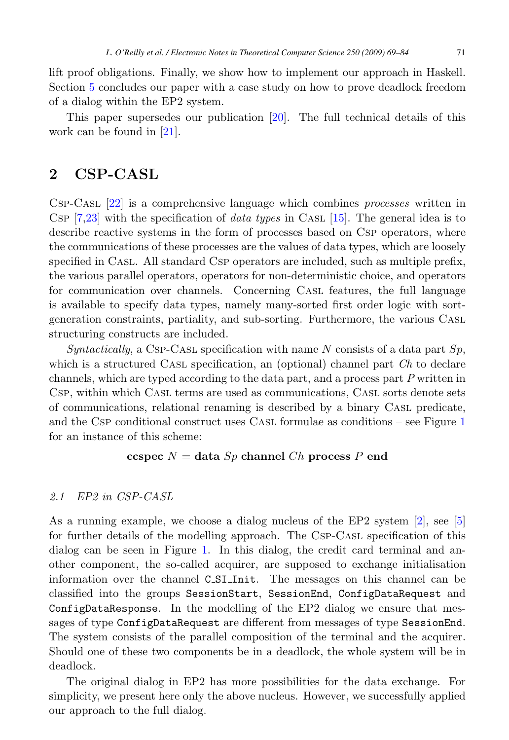<span id="page-2-0"></span>lift proof obligations. Finally, we show how to implement our approach in Haskell. Section [5](#page-13-0) concludes our paper with a case study on how to prove deadlock freedom of a dialog within the EP2 system.

This paper supersedes our publication [\[20\]](#page-15-0). The full technical details of this work can be found in [\[21\]](#page-15-0).

## **2 CSP-CASL**

Csp-Casl [\[22\]](#page-15-0) is a comprehensive language which combines processes written in Csp  $[7,23]$  with the specification of *data types* in CASL [\[15\]](#page-15-0). The general idea is to describe reactive systems in the form of processes based on Csp operators, where the communications of these processes are the values of data types, which are loosely specified in CASL. All standard CSP operators are included, such as multiple prefix, the various parallel operators, operators for non-deterministic choice, and operators for communication over channels. Concerning Casl features, the full language is available to specify data types, namely many-sorted first order logic with sortgeneration constraints, partiality, and sub-sorting. Furthermore, the various Casl structuring constructs are included.

Syntactically, a CSP-CASL specification with name N consists of a data part  $Sp$ , which is a structured CASL specification, an (optional) channel part Ch to declare channels, which are typed according to the data part, and a process part P written in Csp, within which Casl terms are used as communications, Casl sorts denote sets of communications, relational renaming is described by a binary Casl predicate, and the Csp conditional construct uses Casl formulae as conditions – see Figure [1](#page-3-0) for an instance of this scheme:

#### **ccspec**  $N =$  **data**  $Sp$  **channel**  $Ch$  **process**  $P$  **end**

#### 2.1 EP2 in CSP-CASL

As a running example, we choose a dialog nucleus of the EP2 system [\[2\]](#page-14-0), see [\[5\]](#page-15-0) for further details of the modelling approach. The Csp-Casl specification of this dialog can be seen in Figure [1.](#page-3-0) In this dialog, the credit card terminal and another component, the so-called acquirer, are supposed to exchange initialisation information over the channel C SI Init. The messages on this channel can be classified into the groups SessionStart, SessionEnd, ConfigDataRequest and ConfigDataResponse. In the modelling of the EP2 dialog we ensure that messages of type ConfigDataRequest are different from messages of type SessionEnd. The system consists of the parallel composition of the terminal and the acquirer. Should one of these two components be in a deadlock, the whole system will be in deadlock.

The original dialog in EP2 has more possibilities for the data exchange. For simplicity, we present here only the above nucleus. However, we successfully applied our approach to the full dialog.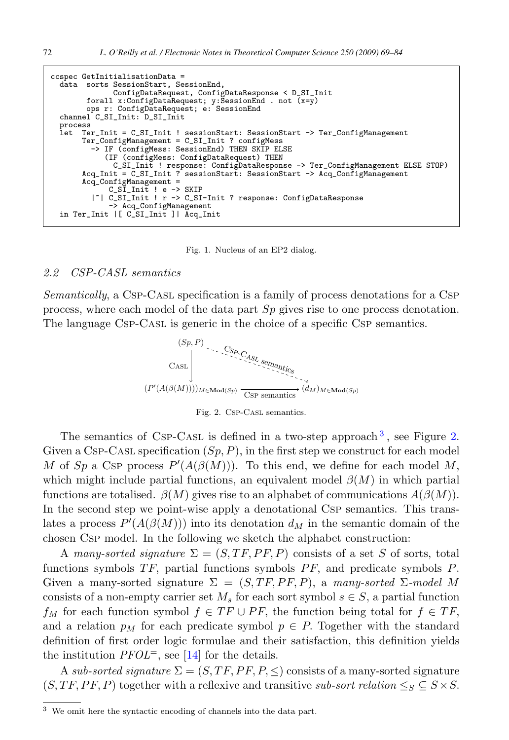```
ccspec GetInitialisationData =
  data sorts SessionStart, SessionEnd,
              ConfigDataRequest, ConfigDataResponse < D_SI_Init
        forall x:ConfigDataRequest; y:SessionEnd . not \overline{(x=y)}ops r: ConfigDataRequest; e: SessionEnd
  channel C_SI_Init: D_SI_Init
 process<br>let Tem
      let Ter_Init = C_SI_Init ! sessionStart: SessionStart -> Ter_ConfigManagement
       Ter_ConfigManagement = C_SI_Init ? configMess
         -> IF (configMess: SessionEnd) THEN SKIP ELSE
            (IF (configMess: ConfigDataRequest) THEN
              C_SI_Init ! response: ConfigDataResponse -> Ter_ConfigManagement ELSE STOP)
       Acq_Init = C_SI_Init ? sessionStart: SessionStart -> Acq_ConfigManagement
       Acq_ConfigManagement =
             C_SI_Init ! e -> SKIP
          |~| C_SI_Init ! r -> C_SI-Init ? response: ConfigDataResponse
             -> Acq_ConfigManagement
  in Ter_Init |[ C_SI_Init ]| Acq_Init
```
Fig. 1. Nucleus of an EP2 dialog.

#### 2.2 CSP-CASL semantics

Semantically, a Csp-Casl specification is a family of process denotations for a Csp process, where each model of the data part Sp gives rise to one process denotation. The language Csp-Casl is generic in the choice of a specific Csp semantics.



Fig. 2. Csp-Casl semantics.

The semantics of Csp-Cast is defined in a two-step approach<sup>3</sup>, see Figure 2. Given a Csp-Cast specification  $(S_p, P)$ , in the first step we construct for each model M of Sp a Csp process  $P'(A(\beta(M)))$ . To this end, we define for each model M, which might include partial functions, an equivalent model  $\beta(M)$  in which partial functions are totalised.  $\beta(M)$  gives rise to an alphabet of communications  $A(\beta(M))$ . In the second step we point-wise apply a denotational CsP semantics. This translates a process  $P'(A(\beta(M)))$  into its denotation  $d_M$  in the semantic domain of the chosen Csp model. In the following we sketch the alphabet construction:

A many-sorted signature  $\Sigma = (S, TF, PF, P)$  consists of a set S of sorts, total functions symbols  $TF$ , partial functions symbols  $PF$ , and predicate symbols  $P$ . Given a many-sorted signature  $\Sigma = (S, TF, PF, P)$ , a many-sorted  $\Sigma$ -model M consists of a non-empty carrier set  $M_s$  for each sort symbol  $s \in S$ , a partial function  $f_M$  for each function symbol  $f \in TF \cup PF$ , the function being total for  $f \in TF$ , and a relation  $p_M$  for each predicate symbol  $p \in P$ . Together with the standard definition of first order logic formulae and their satisfaction, this definition yields the institution  $PFOL^=$ , see [\[14\]](#page-15-0) for the details.

A sub-sorted signature  $\Sigma = (S, TF, PF, P, \leq)$  consists of a many-sorted signature  $(S, TF, PF, P)$  together with a reflexive and transitive sub-sort relation  $\leq_S \leq S \times S$ .

<sup>3</sup> We omit here the syntactic encoding of channels into the data part.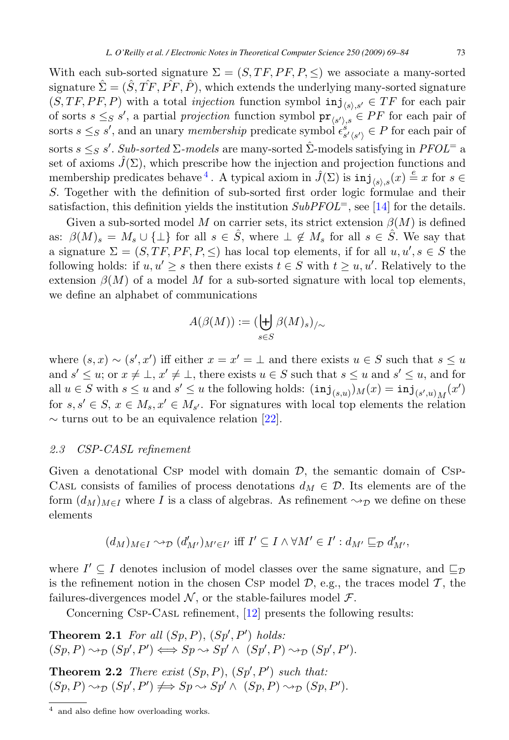<span id="page-4-0"></span>With each sub-sorted signature  $\Sigma = (S, TF, PF, P, \leq)$  we associate a many-sorted signature  $\hat{\Sigma}=(\hat{S}, T\hat{F}, \hat{P}\hat{F}, \hat{P})$ , which extends the underlying many-sorted signature  $(S, TF, PF, P)$  with a total *injection* function symbol  $\text{inj}_{\langle s \rangle, s'} \in TF$  for each pair of sorts  $s \leq_{S} s'$ , a partial projection function symbol  $\operatorname{pr}_{\langle s' \rangle_{S}} \in PF$  for each pair of sorts  $s \leq_{S} s'$ , and an unary membership predicate symbol  $\epsilon_{s'(s')}^{s'} \in P$  for each pair of sorts  $s \leq_S s'$ . Sub-sorted  $\Sigma$ -models are many-sorted  $\hat{\Sigma}$ -models satisfying in  $PFOL^=$  a set of axioms  $\hat{J}(\Sigma)$ , which prescribe how the injection and projection functions and membership predicates behave <sup>4</sup>. A typical axiom in  $\hat{J}(\Sigma)$  is  $\text{inj}_{\langle s \rangle,s}(x) \stackrel{e}{=} x$  for  $s \in \mathbb{Z}$ S. Together with the definition of sub-sorted first order logic formulae and their satisfaction, this definition yields the institution  $SubPPOL^=$ , see [\[14\]](#page-15-0) for the details.

Given a sub-sorted model M on carrier sets, its strict extension  $\beta(M)$  is defined as:  $\beta(M)_s = M_s \cup {\perp}$  for all  $s \in \hat{S}$ , where  $\perp \notin M_s$  for all  $s \in \hat{S}$ . We say that a signature  $\Sigma = (S, TF, PF, P, \leq)$  has local top elements, if for all  $u, u', s \in S$  the following holds: if  $u, u' \geq s$  then there exists  $t \in S$  with  $t \geq u, u'$ . Relatively to the extension  $\beta(M)$  of a model M for a sub-sorted signature with local top elements, we define an alphabet of communications

$$
A(\beta(M)) := (\biguplus_{s \in S} \beta(M)_s)_{/\sim}
$$

where  $(s, x) \sim (s', x')$  iff either  $x = x' = \perp$  and there exists  $u \in S$  such that  $s \leq u$ and  $s' \leq u$ ; or  $x \neq \perp, x' \neq \perp$ , there exists  $u \in S$  such that  $s \leq u$  and  $s' \leq u$ , and for all  $u \in S$  with  $s \leq u$  and  $s' \leq u$  the following holds:  $(\text{inj}_{(s,u)})_M(x) = \text{inj}_{(s',u)}_M(x')$ for  $s, s' \in S$ ,  $x \in M_s$ ,  $x' \in M_{s'}$ . For signatures with local top elements the relation  $\sim$  turns out to be an equivalence relation [\[22\]](#page-15-0).

#### 2.3 CSP-CASL refinement

Given a denotational Csp model with domain  $\mathcal{D}$ , the semantic domain of Csp-CASL consists of families of process denotations  $d_M \in \mathcal{D}$ . Its elements are of the form  $(d_M)_{M \in I}$  where I is a class of algebras. As refinement  $\leadsto_{\mathcal{D}}$  we define on these elements

$$
(d_M)_{M \in I} \sim_{\mathcal{D}} (d'_{M'})_{M' \in I'} \text{ iff } I' \subseteq I \land \forall M' \in I': d_{M'} \sqsubseteq_{\mathcal{D}} d'_{M'},
$$

where  $I' \subseteq I$  denotes inclusion of model classes over the same signature, and  $\sqsubseteq_{\mathcal{D}}$ is the refinement notion in the chosen CsP model  $D$ , e.g., the traces model  $T$ , the failures-divergences model  $N$ , or the stable-failures model  $\mathcal{F}$ .

Concerning Csp-Casl refinement, [\[12\]](#page-15-0) presents the following results:

**Theorem 2.1** For all  $(Sp, P)$ ,  $(Sp', P')$  holds:  $(Sp, P) \rightarrow_{\mathcal{D}} (Sp', P') \Longleftrightarrow Sp \rightsquigarrow Sp' \wedge (Sp', P) \rightsquigarrow_{\mathcal{D}} (Sp', P').$ **Theorem 2.2** There exist  $(Sp, P), (Sp', P')$  such that:  $(Sp, P) \rightsquigarrow_{\mathcal{D}} (Sp', P') \iff Sp \rightsquigarrow Sp' \land (Sp, P) \rightsquigarrow_{\mathcal{D}} (Sp, P').$ 

<sup>4</sup> and also define how overloading works.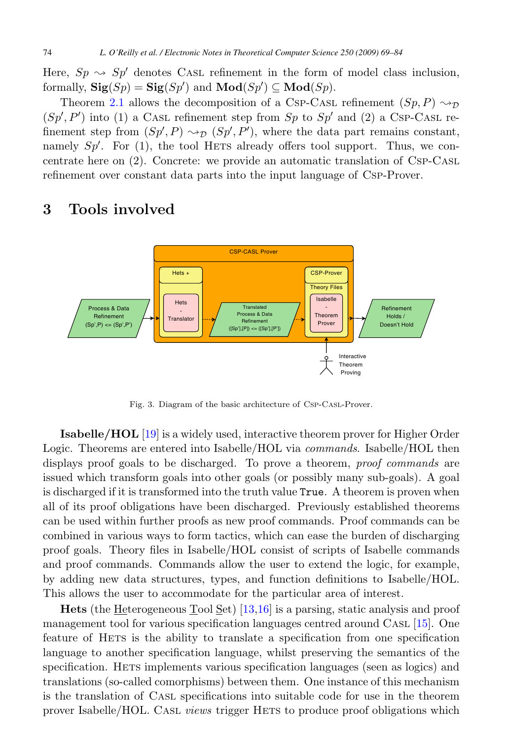<span id="page-5-0"></span>Here,  $Sp \sim Sp'$  denotes CASL refinement in the form of model class inclusion, formally,  $\textbf{Sig}(Sp) = \textbf{Sig}(Sp')$  and  $\textbf{Mod}(Sp') \subseteq \textbf{Mod}(Sp)$ .

Theorem [2.1](#page-4-0) allows the decomposition of a CSP-CASL refinement  $(Sp, P) \sim_{\mathcal{D}}$  $(Sp', P')$  into (1) a CASL refinement step from Sp to Sp' and (2) a CSP-CASL refinement step from  $(Sp', P) \rightarrow_{\mathcal{D}} (Sp', P')$ , where the data part remains constant, namely  $Sp'$ . For (1), the tool HETS already offers tool support. Thus, we concentrate here on (2). Concrete: we provide an automatic translation of Csp-Casl refinement over constant data parts into the input language of Csp-Prover.

# **3 Tools involved**



Fig. 3. Diagram of the basic architecture of Csp-Casl-Prover.

**Isabelle/HOL** [\[19\]](#page-15-0) is a widely used, interactive theorem prover for Higher Order Logic. Theorems are entered into Isabelle/HOL via *commands*. Isabelle/HOL then displays proof goals to be discharged. To prove a theorem, *proof commands* are issued which transform goals into other goals (or possibly many sub-goals). A goal is discharged if it is transformed into the truth value True. A theorem is proven when all of its proof obligations have been discharged. Previously established theorems can be used within further proofs as new proof commands. Proof commands can be combined in various ways to form tactics, which can ease the burden of discharging proof goals. Theory files in Isabelle/HOL consist of scripts of Isabelle commands and proof commands. Commands allow the user to extend the logic, for example, by adding new data structures, types, and function definitions to Isabelle/HOL. This allows the user to accommodate for the particular area of interest.

**Hets** (the Heterogeneous Tool Set) [\[13,16\]](#page-15-0) is a parsing, static analysis and proof management tool for various specification languages centred around Casl [\[15\]](#page-15-0). One feature of HETS is the ability to translate a specification from one specification language to another specification language, whilst preserving the semantics of the specification. Hets implements various specification languages (seen as logics) and translations (so-called comorphisms) between them. One instance of this mechanism is the translation of Casl specifications into suitable code for use in the theorem prover Isabelle/HOL. Cast views trigger HETS to produce proof obligations which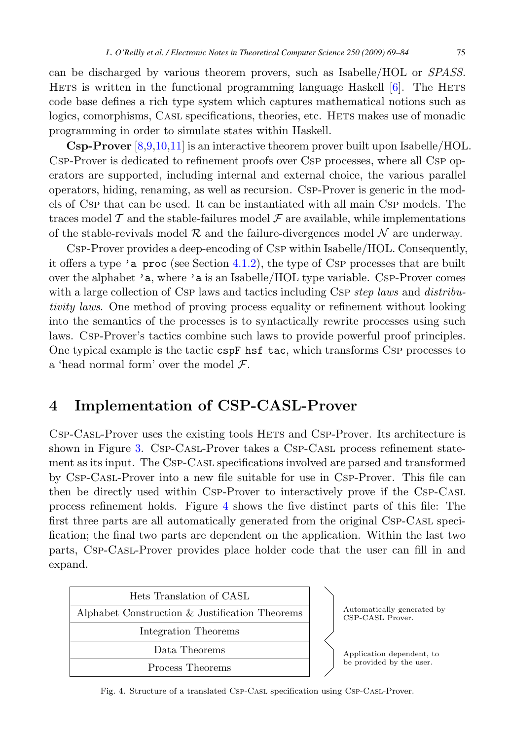<span id="page-6-0"></span>can be discharged by various theorem provers, such as Isabelle/HOL or SPASS. Hetas is written in the functional programming language Haskell  $[6]$ . The HETS code base defines a rich type system which captures mathematical notions such as logics, comorphisms, CASL specifications, theories, etc. HETS makes use of monadic programming in order to simulate states within Haskell.

**Csp-Prover** [\[8,9,10,11\]](#page-15-0) is an interactive theorem prover built upon Isabelle/HOL. Csp-Prover is dedicated to refinement proofs over Csp processes, where all Csp operators are supported, including internal and external choice, the various parallel operators, hiding, renaming, as well as recursion. Csp-Prover is generic in the models of Csp that can be used. It can be instantiated with all main Csp models. The traces model  $\mathcal T$  and the stable-failures model  $\mathcal F$  are available, while implementations of the stable-revivals model  $\mathcal R$  and the failure-divergences model  $\mathcal N$  are underway.

Csp-Prover provides a deep-encoding of Csp within Isabelle/HOL. Consequently, it offers a type 'a proc (see Section [4.1.2\)](#page-8-0), the type of Csp processes that are built over the alphabet 'a, where 'a is an Isabelle/HOL type variable. Csp-Prover comes with a large collection of Csp laws and tactics including Csp step laws and distributivity laws. One method of proving process equality or refinement without looking into the semantics of the processes is to syntactically rewrite processes using such laws. Csp-Prover's tactics combine such laws to provide powerful proof principles. One typical example is the tactic cspF\_hsf\_tac, which transforms CSP processes to a 'head normal form' over the model  $\mathcal{F}$ .

# **4 Implementation of CSP-CASL-Prover**

Csp-Casl-Prover uses the existing tools Hets and Csp-Prover. Its architecture is shown in Figure [3.](#page-5-0) Csp-Casl-Prover takes a Csp-Casl process refinement statement as its input. The Csp-Casl specifications involved are parsed and transformed by Csp-Casl-Prover into a new file suitable for use in Csp-Prover. This file can then be directly used within Csp-Prover to interactively prove if the Csp-Casl process refinement holds. Figure 4 shows the five distinct parts of this file: The first three parts are all automatically generated from the original Csp-Casl specification; the final two parts are dependent on the application. Within the last two parts, Csp-Casl-Prover provides place holder code that the user can fill in and expand.



Fig. 4. Structure of a translated Csp-Casl specification using Csp-Casl-Prover.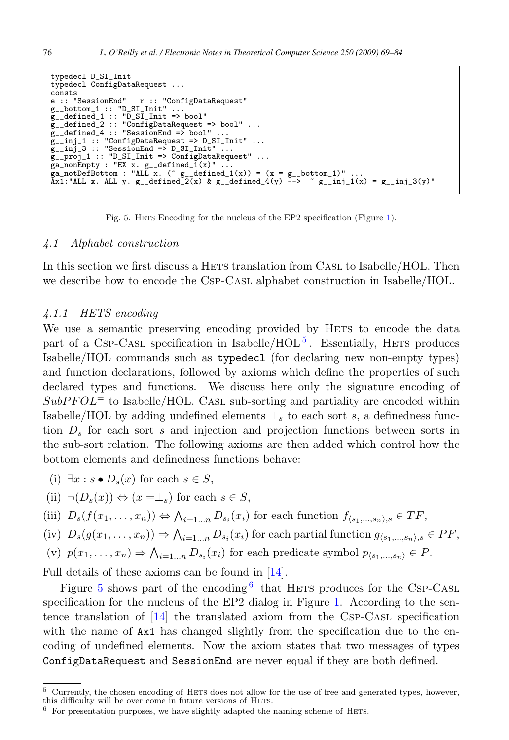```
typedecl D_SI_Init
typedecl ConfigDataRequest ...
consts<br>e :: "SessionEnd"
e :: "SessionEnd" r :: "ConfigDataRequest"
g__bottom_1 :: "D_SI_Init" ...
g__defined_1 :: "D_SI_Init => bool"
g__defined_2 :: "ConfigDataRequest => bool" ...
g__defined_4 :: "SessionEnd => bool" ...
g__inj_1 :: "ConfigDataRequest => D_SI_Init" ...<br>g__inj_3 :: "SessionEnd => D_SI_Init" ...<br>g__proj_1 :: "D_SI_Init => ConfigDataRequest" ...
ga_nonEmpty : "EX x. g__defined_1(x)" ...<br>ga_notDefBottom : "ALL x. (~ g__defined_1(x)) = (x = g__bottom_1)" ...<br>Ax1:"ALL x. ALL y. g__defined_2(x) & g__defined_4(y) --> ~ g__inj_1(x) = g__inj_3(y)"
```
Fig. 5. HETS Encoding for the nucleus of the EP2 specification (Figure [1\)](#page-3-0).

#### 4.1 Alphabet construction

In this section we first discuss a HETS translation from CASL to Isabelle/HOL. Then we describe how to encode the Csp-Casl alphabet construction in Isabelle/HOL.

#### 4.1.1 HETS encoding

We use a semantic preserving encoding provided by HETS to encode the data part of a Csp-Casl specification in Isabelle/ $HOL<sup>5</sup>$ . Essentially, HETS produces Isabelle/HOL commands such as typedecl (for declaring new non-empty types) and function declarations, followed by axioms which define the properties of such declared types and functions. We discuss here only the signature encoding of  $SubP FOL =$  to Isabelle/HOL. CASL sub-sorting and partiality are encoded within Isabelle/HOL by adding undefined elements  $\perp_s$  to each sort s, a definedness function  $D_s$  for each sort s and injection and projection functions between sorts in the sub-sort relation. The following axioms are then added which control how the bottom elements and definedness functions behave:

(i) 
$$
\exists x : s \bullet D_s(x)
$$
 for each  $s \in S$ ,

(ii) 
$$
\neg(D_s(x)) \Leftrightarrow (x = \perp_s)
$$
 for each  $s \in S$ ,

(iii) 
$$
D_s(f(x_1,...,x_n)) \Leftrightarrow \bigwedge_{i=1...n} D_{s_i}(x_i)
$$
 for each function  $f_{\langle s_1,...,s_n \rangle,s} \in TF$ ,

(iv) 
$$
D_s(g(x_1,...,x_n)) \Rightarrow \bigwedge_{i=1...n} D_{s_i}(x_i)
$$
 for each partial function  $g_{\langle s_1,...,s_n \rangle,s} \in PF$ ,

(v) 
$$
p(x_1,...,x_n) \Rightarrow \bigwedge_{i=1...n} D_{s_i}(x_i)
$$
 for each predicate symbol  $p_{\langle s_1,...,s_n \rangle} \in P$ .

Full details of these axioms can be found in [\[14\]](#page-15-0).

Figure 5 shows part of the encoding  $6$  that HETS produces for the CSP-CASL specification for the nucleus of the EP2 dialog in Figure [1.](#page-3-0) According to the sentence translation of  $[14]$  the translated axiom from the CsP-CASL specification with the name of  $Ax1$  has changed slightly from the specification due to the encoding of undefined elements. Now the axiom states that two messages of types ConfigDataRequest and SessionEnd are never equal if they are both defined.

 $5$  Currently, the chosen encoding of HETS does not allow for the use of free and generated types, however, this difficulty will be over come in future versions of HETS.

 $6\,$  For presentation purposes, we have slightly adapted the naming scheme of HETs.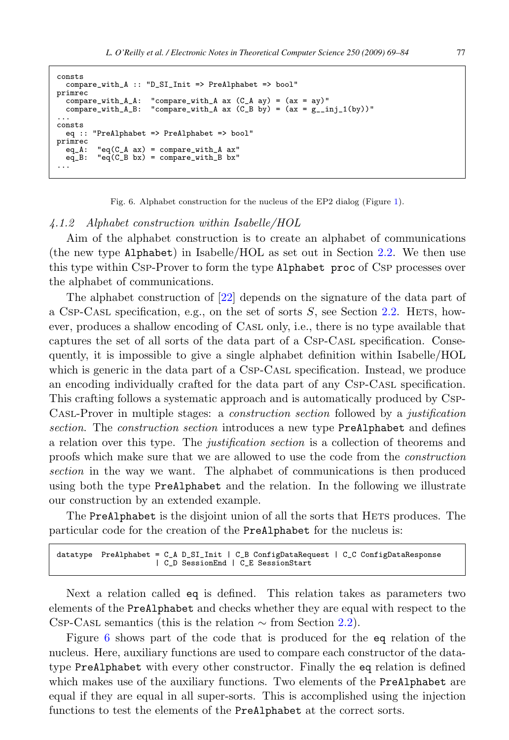```
consts compare_with_A :: "D_SI_Init => PreAlphabet => bool"
primrec
  compare_with_A_A: "compare_with_A ax (C_A A) = (ax = ay)"
compare_with_A_B: "compare_with_A ax (C_B by) = (ax = g_{-1}inj_1(by))"...<br>...
consts eq :: "PreAlphabet => PreAlphabet => bool"
primrec
  eq_A: "eq(C_A ax) = compare_with_A ax"<br>eq_B: "eq(C_B bx) = compare_with_B bx"
           "eq(C_B bx) = compare\_with_B bx"
```
Fig. 6. Alphabet construction for the nucleus of the EP2 dialog (Figure [1\)](#page-3-0).

#### 4.1.2 Alphabet construction within Isabelle/HOL

Aim of the alphabet construction is to create an alphabet of communications (the new type Alphabet) in Isabelle/HOL as set out in Section [2.2.](#page-3-0) We then use this type within Csp-Prover to form the type Alphabet proc of Csp processes over the alphabet of communications.

The alphabet construction of [\[22\]](#page-15-0) depends on the signature of the data part of a Csp-Casl specification, e.g., on the set of sorts  $S$ , see Section [2.2.](#page-3-0) HETS, however, produces a shallow encoding of Casl only, i.e., there is no type available that captures the set of all sorts of the data part of a Csp-Casl specification. Consequently, it is impossible to give a single alphabet definition within Isabelle/HOL which is generic in the data part of a CSP-CASL specification. Instead, we produce an encoding individually crafted for the data part of any Csp-Casl specification. This crafting follows a systematic approach and is automatically produced by Csp-Casl-Prover in multiple stages: a construction section followed by a justification section. The construction section introduces a new type PreAlphabet and defines a relation over this type. The justification section is a collection of theorems and proofs which make sure that we are allowed to use the code from the construction section in the way we want. The alphabet of communications is then produced using both the type PreAlphabet and the relation. In the following we illustrate our construction by an extended example.

The PreAlphabet is the disjoint union of all the sorts that HETS produces. The particular code for the creation of the PreAlphabet for the nucleus is:

```
datatype PreAlphabet = C_A D_S I_Init | C_B ConfigDataRequest | C_C ConfigDataResponse
                      | C_D SessionEnd | C_E SessionStart
```
Next a relation called eq is defined. This relation takes as parameters two elements of the PreAlphabet and checks whether they are equal with respect to the Csp-Cast semantics (this is the relation  $\sim$  from Section [2.2\)](#page-3-0).

Figure 6 shows part of the code that is produced for the eq relation of the nucleus. Here, auxiliary functions are used to compare each constructor of the datatype PreAlphabet with every other constructor. Finally the eq relation is defined which makes use of the auxiliary functions. Two elements of the PreAlphabet are equal if they are equal in all super-sorts. This is accomplished using the injection functions to test the elements of the PreAlphabet at the correct sorts.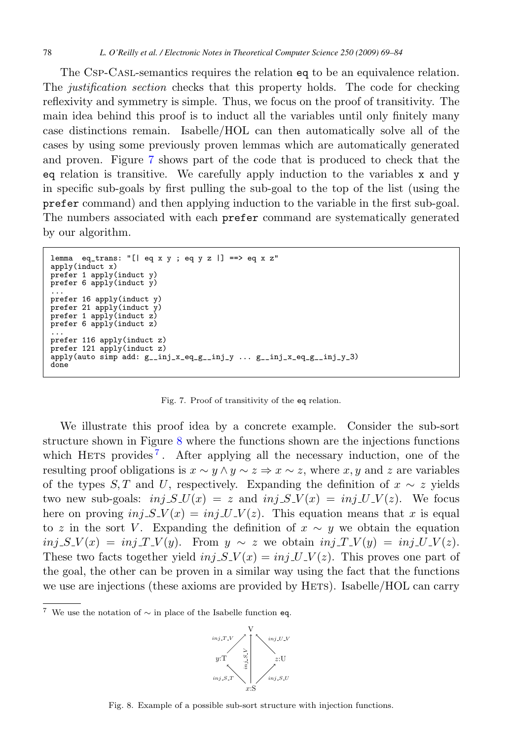<span id="page-9-0"></span>The Csp-Casl-semantics requires the relation eq to be an equivalence relation. The justification section checks that this property holds. The code for checking reflexivity and symmetry is simple. Thus, we focus on the proof of transitivity. The main idea behind this proof is to induct all the variables until only finitely many case distinctions remain. Isabelle/HOL can then automatically solve all of the cases by using some previously proven lemmas which are automatically generated and proven. Figure 7 shows part of the code that is produced to check that the eq relation is transitive. We carefully apply induction to the variables x and y in specific sub-goals by first pulling the sub-goal to the top of the list (using the prefer command) and then applying induction to the variable in the first sub-goal. The numbers associated with each prefer command are systematically generated by our algorithm.

```
lemma eq_trans: "[| eq x y ; eq y z |] ==> eq x z"
apply(int x)prefer 1 apply(induct y)
prefer 6 apply(induct y)
...
prefer 16 apply(induct y)
prefer 21 apply(induct y)
prefer 1 apply(induct z)
prefer 6 apply(induct z)
...
prefer 116 apply(induct z)
prefer 121 apply(induct z)
\text{apply}(auto simp add: g_{\text{min}}x_{\text{eq}}g_{\text{min}}-y ... g_{\text{min}}x_{\text{eq}}g_{\text{min}}-y_{\text{eq}}done
```
Fig. 7. Proof of transitivity of the eq relation.

We illustrate this proof idea by a concrete example. Consider the sub-sort structure shown in Figure 8 where the functions shown are the injections functions which HETS provides<sup>7</sup>. After applying all the necessary induction, one of the resulting proof obligations is  $x \sim y \land y \sim z \Rightarrow x \sim z$ , where x, y and z are variables of the types S, T and U, respectively. Expanding the definition of  $x \sim z$  yields two new sub-goals:  $inj$ - $S$ - $U(x) = z$  and  $inj$ - $S$ - $V(x) = inj$ - $U$  $V(z)$ . We focus here on proving  $inj$   $S$ <sub> $\cdot$ </sub> $V(x) = inj$  $\cdot$  $U$  $\cdot$  $V(z)$ . This equation means that x is equal to z in the sort V. Expanding the definition of  $x \sim y$  we obtain the equation  $inj$   $S$   $V(x) = inj$   $T$   $V(y)$ . From  $y \sim z$  we obtain  $inj$   $T$   $V(y) = inj$   $U$   $V(z)$ . These two facts together yield  $inj$ - $S$ - $V(x) = inj$ - $U$ - $V(z)$ . This proves one part of the goal, the other can be proven in a similar way using the fact that the functions we use are injections (these axioms are provided by HETS). Isabelle/HOL can carry

<sup>7</sup> We use the notation of  $\sim$  in place of the Isabelle function eq.



Fig. 8. Example of a possible sub-sort structure with injection functions.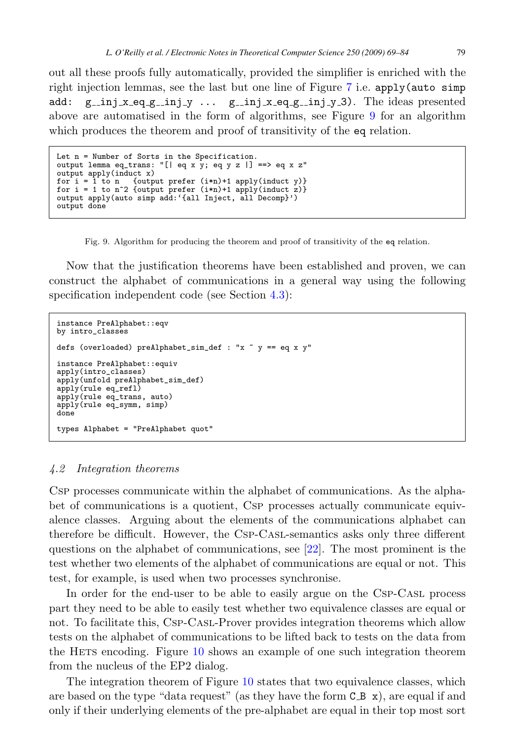out all these proofs fully automatically, provided the simplifier is enriched with the right injection lemmas, see the last but one line of Figure [7](#page-9-0) i.e. apply(auto simp add:  $g_{\text{min}} x_{\text{eq}} g_{\text{min}} y \dots g_{\text{min}} x_{\text{eq}} g_{\text{min}} y_{\text{max}}$  The ideas presented above are automatised in the form of algorithms, see Figure 9 for an algorithm which produces the theorem and proof of transitivity of the eq relation.

```
Let n = Number of Sorts in the Specification.
output lemma eq_trans: "[| eq x y; eq y z |] ==> eq x z"
output apply(induct x)
for i = 1 to n {output prefer (i*n)+1 apply(induct y)}
for i = 1 to n^2 {output prefer (i*n)+1 apply(induct z)}
output apply(auto simp add:'{all Inject, all Decomp}')
output done
```
Fig. 9. Algorithm for producing the theorem and proof of transitivity of the eq relation.

Now that the justification theorems have been established and proven, we can construct the alphabet of communications in a general way using the following specification independent code (see Section [4.3\)](#page-11-0):

```
instance PreAlphabet::eqv
by intro_classes
defs (overloaded) preAlphabet_sim_def : "x " y == eq x y"
instance PreAlphabet::equiv
apply(intro_classes)
apply(unfold preAlphabet_sim_def)
apply(rule eq_refl)
apply(rule eq_trans, auto)
apply(rule eq_symm, simp)
done
types Alphabet = "PreAlphabet quot"
```
#### 4.2 Integration theorems

Csp processes communicate within the alphabet of communications. As the alphabet of communications is a quotient, Csp processes actually communicate equivalence classes. Arguing about the elements of the communications alphabet can therefore be difficult. However, the Csp-Casl-semantics asks only three different questions on the alphabet of communications, see [\[22\]](#page-15-0). The most prominent is the test whether two elements of the alphabet of communications are equal or not. This test, for example, is used when two processes synchronise.

In order for the end-user to be able to easily argue on the Csp-Casl process part they need to be able to easily test whether two equivalence classes are equal or not. To facilitate this, Csp-Casl-Prover provides integration theorems which allow tests on the alphabet of communications to be lifted back to tests on the data from the HETS encoding. Figure [10](#page-11-0) shows an example of one such integration theorem from the nucleus of the EP2 dialog.

The integration theorem of Figure [10](#page-11-0) states that two equivalence classes, which are based on the type "data request" (as they have the form  $C_B x$ ), are equal if and only if their underlying elements of the pre-alphabet are equal in their top most sort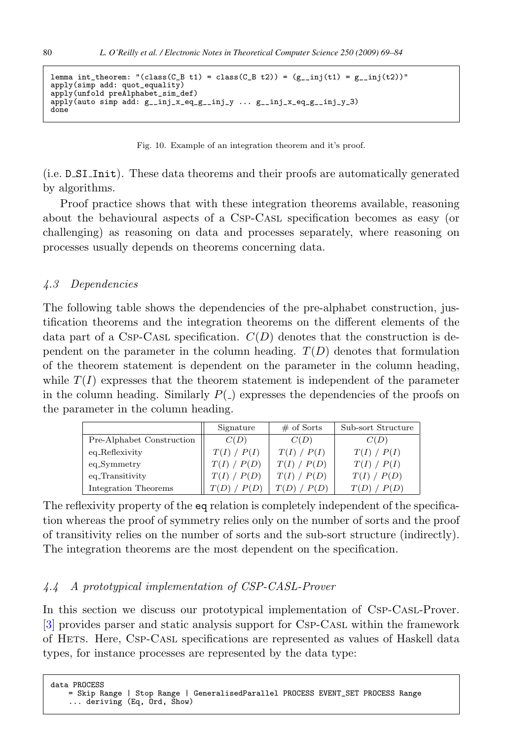```
lemma int_theorem: "(class(C_B t1) = class(C_B t2)) = (g_{\text{min}}(t1) = g_{\text{min}}(t2))"
apply(simp add: quot_equality)
apply(unfold preAlphabet_sim_def)
apply(auto simp add: g_inj_x_eq_g_inj_y ... g_inj_x_eq_g_inj_y)done
```
Fig. 10. Example of an integration theorem and it's proof.

(i.e. D SI Init). These data theorems and their proofs are automatically generated by algorithms.

Proof practice shows that with these integration theorems available, reasoning about the behavioural aspects of a Csp-Casl specification becomes as easy (or challenging) as reasoning on data and processes separately, where reasoning on processes usually depends on theorems concerning data.

#### 4.3 Dependencies

The following table shows the dependencies of the pre-alphabet construction, justification theorems and the integration theorems on the different elements of the data part of a CsP-CAsL specification.  $C(D)$  denotes that the construction is dependent on the parameter in the column heading.  $T(D)$  denotes that formulation of the theorem statement is dependent on the parameter in the column heading, while  $T(I)$  expresses that the theorem statement is independent of the parameter in the column heading. Similarly  $P(\_)$  expresses the dependencies of the proofs on the parameter in the column heading.

|                           | Signature   | $#$ of Sorts | Sub-sort Structure |
|---------------------------|-------------|--------------|--------------------|
| Pre-Alphabet Construction | C(D)        | C(D)         | C(D)               |
| eq_Reflexivity            | T(I) / P(I) | T(I) / P(I)  | T(I) / P(I)        |
| eq_Symmetry               | T(I) / P(D) | T(I) / P(D)  | T(I) / P(I)        |
| eq_Transitivity           | P(D)        | T(I) / P(D)  | T(I) / P(D)        |
| Integration Theorems      |             |              |                    |

The reflexivity property of the eq relation is completely independent of the specification whereas the proof of symmetry relies only on the number of sorts and the proof of transitivity relies on the number of sorts and the sub-sort structure (indirectly). The integration theorems are the most dependent on the specification.

#### 4.4 A prototypical implementation of CSP-CASL-Prover

In this section we discuss our prototypical implementation of Csp-Casl-Prover. [\[3\]](#page-14-0) provides parser and static analysis support for Csp-Casl within the framework of Hets. Here, Csp-Casl specifications are represented as values of Haskell data types, for instance processes are represented by the data type:

data PROCESS = Skip Range | Stop Range | GeneralisedParallel PROCESS EVENT\_SET PROCESS Range ... deriving (Eq, Ord, Show)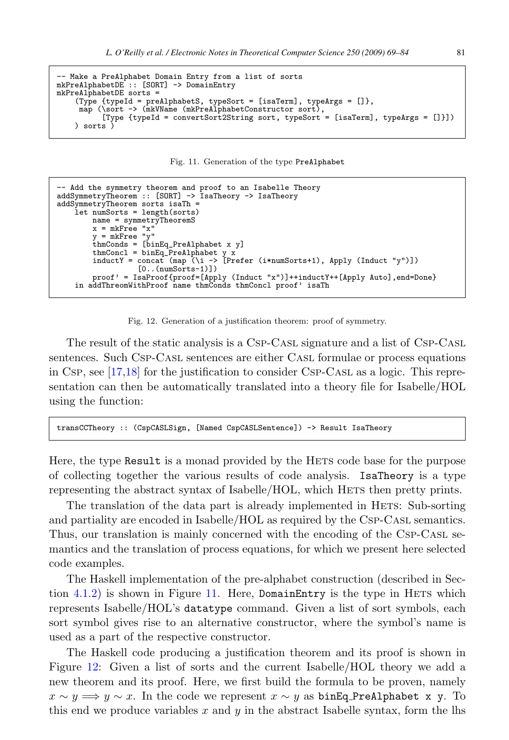```
- Make a PreAlphabet Domain Entry from a list of sorts
mkPreAlphabetDE :: [SORT] -> DomainEntry
mkPreAlphabetDE sorts =
     (Type {typeId = preAlphabetS, typeSort = [isaTerm], typeArgs = []},
map (\sort -> (mkVName (mkPreAlphabetConstructor sort),
            [Type {typeId = convertSort2String sort, typeSort = [isaTerm], typeArgs = []}])
    ) sorts )
```
Fig. 11. Generation of the type PreAlphabet

```
-- Add the symmetry theorem and proof to an Isabelle Theory
addSymmetryTheorem :: [SORT] -> IsaTheory -> IsaTheory
addSymmetryTheorem sorts isaTh =
     let numSorts = length(sorts)
           name = symmetryTheoremS
x = mkFree "x"
          y = mkrre "y"
           thmConds = [binEq_PreAlphabet x y]
thmConcl = binEq_PreAlphabet y x
inductY = concat (map (\i -> [Prefer (i*numSorts+1), Apply (Induct "y")])
                        [0..(numSorts-1)]proof' = IsaProof{proof=[Apply (Induct "x")]++inductY++[Apply Auto],end=Done}
     in addThreomWithProof name thmConds thmConcl proof' isaTh
```

```
Fig. 12. Generation of a justification theorem: proof of symmetry.
```
The result of the static analysis is a Csp-Casl signature and a list of Csp-Casl sentences. Such Csp-Casl sentences are either Casl formulae or process equations in Csp, see [\[17,18\]](#page-15-0) for the justification to consider Csp-Casl as a logic. This representation can then be automatically translated into a theory file for Isabelle/HOL using the function:

```
transCCTheory :: (CspCASLSign, [Named CspCASLSentence]) -> Result IsaTheory
```
Here, the type Result is a monad provided by the HETS code base for the purpose of collecting together the various results of code analysis. IsaTheory is a type representing the abstract syntax of Isabelle/HOL, which HETS then pretty prints.

The translation of the data part is already implemented in HETS: Sub-sorting and partiality are encoded in Isabelle/HOL as required by the Csp-Casl semantics. Thus, our translation is mainly concerned with the encoding of the Csp-Casl semantics and the translation of process equations, for which we present here selected code examples.

The Haskell implementation of the pre-alphabet construction (described in Section  $4.1.2$ ) is shown in Figure 11. Here, DomainEntry is the type in HETS which represents Isabelle/HOL's datatype command. Given a list of sort symbols, each sort symbol gives rise to an alternative constructor, where the symbol's name is used as a part of the respective constructor.

The Haskell code producing a justification theorem and its proof is shown in Figure 12: Given a list of sorts and the current Isabelle/HOL theory we add a new theorem and its proof. Here, we first build the formula to be proven, namely  $x \sim y \Longrightarrow y \sim x$ . In the code we represent  $x \sim y$  as binEq\_PreAlphabet x y. To this end we produce variables x and  $y$  in the abstract Isabelle syntax, form the lhs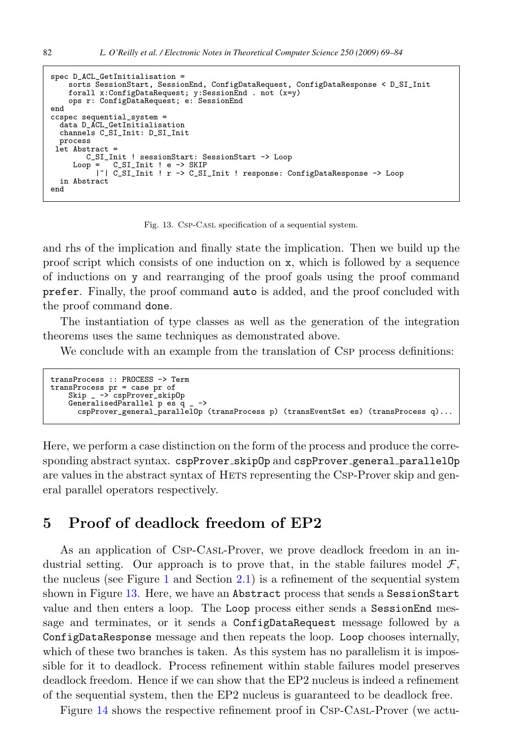```
spec D_ACL_GetInitialisation =
    sorts SessionStart, SessionEnd, ConfigDataRequest, ConfigDataResponse < D_SI_Init
    forall x:ConfigDataRequest; y:SessionEnd . not (x=y)
    ops r: ConfigDataRequest; e: SessionEnd
end
ccspec sequential_system =
 data D_ACL_GetInitialisation
  channels C_SI_Init: D_SI_Init
 process
let Abstract =
     C_SI_Init ! sessionStart: SessionStart -> Loop<br>Loop = C_SI_Init ! e -> SKIP
             C SI Init ! e -> SKIP
          |~| C_SI_Init ! r -> C_SI_Init ! response: ConfigDataResponse -> Loop
 in Abstract
end
```
Fig. 13. Csp-Casl specification of a sequential system.

and rhs of the implication and finally state the implication. Then we build up the proof script which consists of one induction on x, which is followed by a sequence of inductions on y and rearranging of the proof goals using the proof command prefer. Finally, the proof command auto is added, and the proof concluded with the proof command done.

The instantiation of type classes as well as the generation of the integration theorems uses the same techniques as demonstrated above.

We conclude with an example from the translation of CSP process definitions:

```
transProcess :: PROCESS -> Term
transProcess pr = case pr of
   Skip _ -> cspProver_skip0p
   GeneralisedParallel p es q _ ->
      cspProver_general_parallelOp (transProcess p) (transEventSet es) (transProcess q)...
```
Here, we perform a case distinction on the form of the process and produce the corresponding abstract syntax. cspProver\_skipOp and cspProver\_general\_parallelOp are values in the abstract syntax of HETS representing the CSP-Prover skip and general parallel operators respectively.

### **5 Proof of deadlock freedom of EP2**

As an application of Csp-Casl-Prover, we prove deadlock freedom in an industrial setting. Our approach is to prove that, in the stable failures model  $\mathcal{F}$ , the nucleus (see Figure [1](#page-3-0) and Section [2.1\)](#page-2-0) is a refinement of the sequential system shown in Figure 13. Here, we have an Abstract process that sends a SessionStart value and then enters a loop. The Loop process either sends a SessionEnd message and terminates, or it sends a ConfigDataRequest message followed by a ConfigDataResponse message and then repeats the loop. Loop chooses internally, which of these two branches is taken. As this system has no parallelism it is impossible for it to deadlock. Process refinement within stable failures model preserves deadlock freedom. Hence if we can show that the EP2 nucleus is indeed a refinement of the sequential system, then the EP2 nucleus is guaranteed to be deadlock free.

Figure [14](#page-14-0) shows the respective refinement proof in Csp-Casl-Prover (we actu-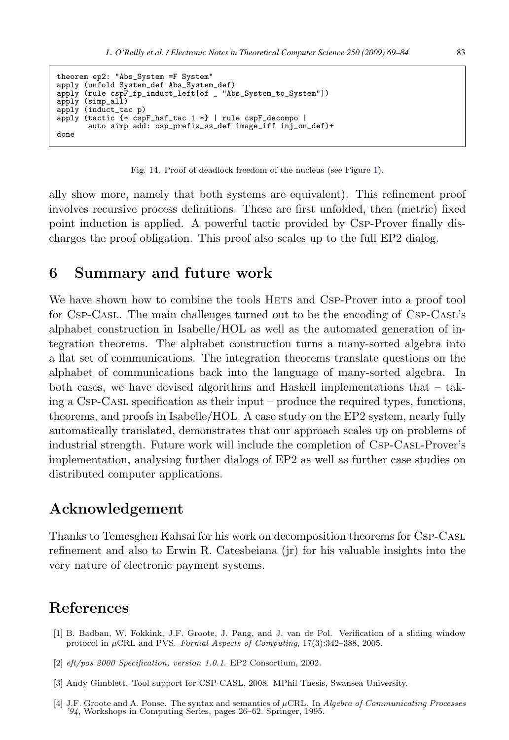```
theorem ep2: "Abs_System =F System"
apply (unfold System_def Abs_System_def)
apply (rule cspF_fp_induct_left[of _ "Abs_System_to_System"])
apply (simp_all)
apply (induct_tac p)
apply (tactic {* cspF_hsf_tac 1 *} | rule cspF_decompo |
       auto simp add: csp_prefix_ss_def image_iff inj_on_def)+
done
```
Fig. 14. Proof of deadlock freedom of the nucleus (see Figure [1\)](#page-3-0).

ally show more, namely that both systems are equivalent). This refinement proof involves recursive process definitions. These are first unfolded, then (metric) fixed point induction is applied. A powerful tactic provided by Csp-Prover finally discharges the proof obligation. This proof also scales up to the full EP2 dialog.

### **6 Summary and future work**

We have shown how to combine the tools HETS and CSP-Prover into a proof tool for Csp-Casl. The main challenges turned out to be the encoding of Csp-Casl's alphabet construction in Isabelle/HOL as well as the automated generation of integration theorems. The alphabet construction turns a many-sorted algebra into a flat set of communications. The integration theorems translate questions on the alphabet of communications back into the language of many-sorted algebra. In both cases, we have devised algorithms and Haskell implementations that – taking a Csp-Casl specification as their input – produce the required types, functions, theorems, and proofs in Isabelle/HOL. A case study on the EP2 system, nearly fully automatically translated, demonstrates that our approach scales up on problems of industrial strength. Future work will include the completion of Csp-Casl-Prover's implementation, analysing further dialogs of EP2 as well as further case studies on distributed computer applications.

# **Acknowledgement**

Thanks to Temesghen Kahsai for his work on decomposition theorems for Csp-Casl refinement and also to Erwin R. Catesbeiana (ir) for his valuable insights into the very nature of electronic payment systems.

## **References**

- [1] B. Badban, W. Fokkink, J.F. Groote, J. Pang, and J. van de Pol. Verification of a sliding window protocol in  $\mu$ CRL and PVS. Formal Aspects of Computing, 17(3):342–388, 2005.
- [2] eft/pos 2000 Specification, version 1.0.1. EP2 Consortium, 2002.
- [3] Andy Gimblett. Tool support for CSP-CASL, 2008. MPhil Thesis, Swansea University.
- [4] J.F. Groote and A. Ponse. The syntax and semantics of μCRL. In Algebra of Communicating Processes '94, Workshops in Computing Series, pages 26–62. Springer, 1995.